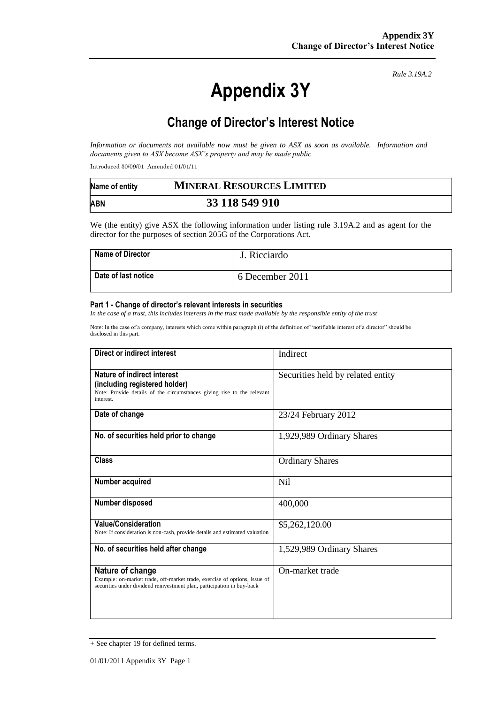# **Appendix 3Y**

*Rule 3.19A.2*

# **Change of Director's Interest Notice**

*Information or documents not available now must be given to ASX as soon as available. Information and documents given to ASX become ASX's property and may be made public.*

Introduced 30/09/01 Amended 01/01/11

| Name of entity | <b>MINERAL RESOURCES LIMITED</b> |  |
|----------------|----------------------------------|--|
| <b>ABN</b>     | 33 118 549 910                   |  |

We (the entity) give ASX the following information under listing rule 3.19A.2 and as agent for the director for the purposes of section 205G of the Corporations Act.

| <b>Name of Director</b> | J. Ricciardo    |
|-------------------------|-----------------|
| Date of last notice     | 6 December 2011 |

#### **Part 1 - Change of director's relevant interests in securities**

*In the case of a trust, this includes interests in the trust made available by the responsible entity of the trust*

Note: In the case of a company, interests which come within paragraph (i) of the definition of "notifiable interest of a director" should be disclosed in this part.

| Direct or indirect interest                                                                                                                                             | Indirect                          |
|-------------------------------------------------------------------------------------------------------------------------------------------------------------------------|-----------------------------------|
| Nature of indirect interest<br>(including registered holder)<br>Note: Provide details of the circumstances giving rise to the relevant<br>interest.                     | Securities held by related entity |
| Date of change                                                                                                                                                          | 23/24 February 2012               |
| No. of securities held prior to change                                                                                                                                  | 1,929,989 Ordinary Shares         |
| <b>Class</b>                                                                                                                                                            | <b>Ordinary Shares</b>            |
| Number acquired                                                                                                                                                         | Nil                               |
| Number disposed                                                                                                                                                         | 400,000                           |
| <b>Value/Consideration</b><br>Note: If consideration is non-cash, provide details and estimated valuation                                                               | \$5,262,120.00                    |
| No. of securities held after change                                                                                                                                     | 1,529,989 Ordinary Shares         |
| Nature of change<br>Example: on-market trade, off-market trade, exercise of options, issue of<br>securities under dividend reinvestment plan, participation in buy-back | On-market trade                   |

<sup>+</sup> See chapter 19 for defined terms.